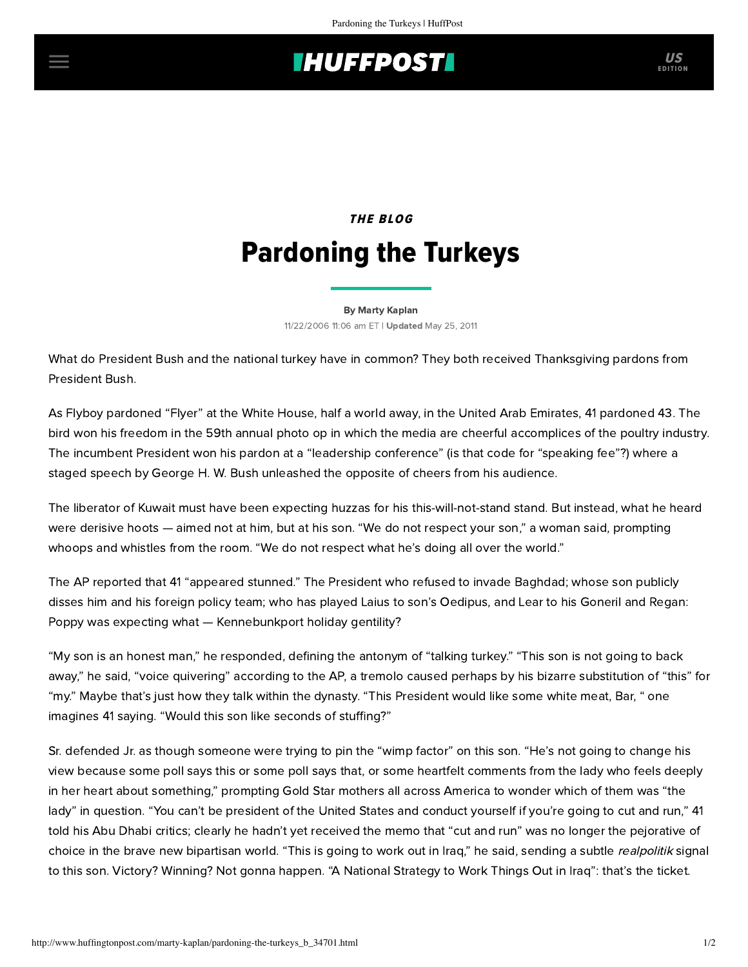## **THUFFPOST**

# THE BLOG [Pardoning the Turkeys](http://us-sonar.sociomantic.com/js/2010-07-01/action/click?aid=openx-us&fpc=2440519181568534413&aaid=2123538987057040900&size=3&cid=11572&gid=30050&ref=huffingtonpost.com&ao=%5B%7B%22id%22%3A%221988390287575675589%22%2C%22fsize%22%3A22%7D%5D&aog=1&ts=1504147096&sig=zF2vC9U0I9vdLn9bQTj9Za_G4spjqaNFgIjRPJKxnl4KVCX54acq6_yfkCtJ4P4pw7F1AMUpf7aVqNu0qH2jnupRoBI%2A&v=ssp1.53&mta=jAUkpGjEgttdaCNJqrBqMFQjmrc7tqDVf1L1rn2XtHIVeBp5MwXvIaARcN5iFvDUAubqnS8nT34ckl-SP_KOJPrQjb2Ukf8zFivU2je9uAmoRQvehtsNEca4Ge7cJZMSWZVndAKDw3_2Dhw74fsS3udLT5MKZegY&cachebuster=1504147099&url=https%3A%2F%2Fwww.soma.com%2Fstore%2Fproduct%2FEmbraceable-Super-Soft-Hipster%2F570149486%3Fcolor%3D719%26utm_medium%3DDisplay%26utm_source%3DSM_Acquisition%26utm_campaign%3DAugust%26utm_term%3DNetwork%26utm_content%3DDyc)

#### [By Marty Kaplan](http://www.huffingtonpost.com/author/marty-kaplan) 11/22/2006 11:06 am ET | Updated May 25, 2011

What do President Bush and the national turkey have in common? They both received Thanksgiving pardons from President Bush.

As Flyboy pardoned "Flyer" at the White House, half a world away, in the United Arab Emirates, 41 pardoned 43. The bird won his freedom in the 59th annual photo op in which the media are cheerful accomplices of the poultry industry. The incumbent President won his pardon at a "leadership conference" (is that code for "speaking fee"?) where a staged speech by George H. W. Bush unleashed the opposite of cheers from his audience.

The liberator of Kuwait must have been expecting huzzas for his this-will-not-stand stand. But instead, what he heard were derisive hoots — aimed not at him, but at his son. "We do not respect your son," a woman said, prompting whoops and whistles from the room. "We do not respect what he's doing all over the world."

The AP reported that 41 "appeared stunned." The President who refused to invade Baghdad; whose son publicly disses him and his foreign policy team; who has played Laius to son's Oedipus, and Lear to his Goneril and Regan: Poppy was expecting what — Kennebunkport holiday gentility?

"My son is an honest man," he responded, defining the antonym of "talking turkey." "This son is not going to back away," he said, "voice quivering" according to the AP, a tremolo caused perhaps by his bizarre substitution of "this" for "my." Maybe that's just how they talk within the dynasty. "This President would like some white meat, Bar, " one imagines 41 saying. "Would this son like seconds of stuffing?"

Sr. defended Jr. as though someone were trying to pin the "wimp factor" on this son. "He's not going to change his view because some poll says this or some poll says that, or some heartfelt comments from the lady who feels deeply in her heart about something," prompting Gold Star mothers all across America to wonder which of them was "the lady" in question. "You can't be president of the United States and conduct yourself if you're going to cut and run," 41 told his Abu Dhabi critics; clearly he hadn't yet received the memo that "cut and run" was no longer the pejorative of choice in the brave new bipartisan world. "This is going to work out in Iraq," he said, sending a subtle realpolitik signal to this son. Victory? Winning? Not gonna happen. "A National Strategy to Work Things Out in Iraq": that's the ticket.